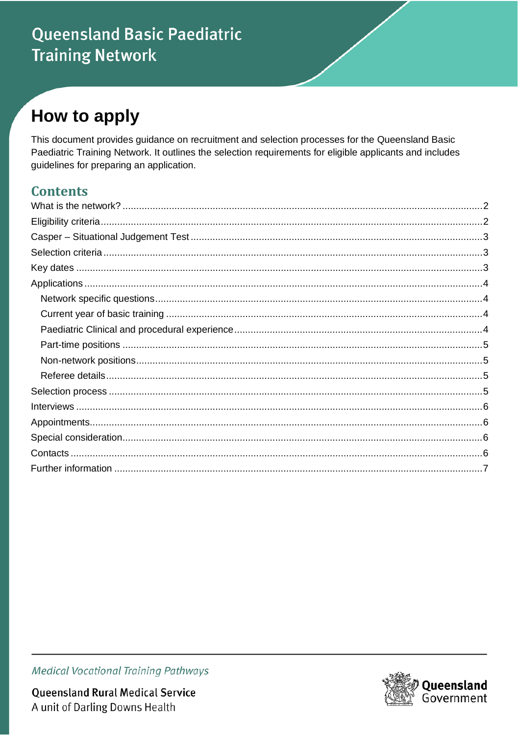# **Queensland Basic Paediatric Training Network**

# **How to apply**

This document provides guidance on recruitment and selection processes for the Queensland Basic Paediatric Training Network. It outlines the selection requirements for eligible applicants and includes guidelines for preparing an application.

### **Contents**



**Queensland Rural Medical Service** A unit of Darling Downs Health

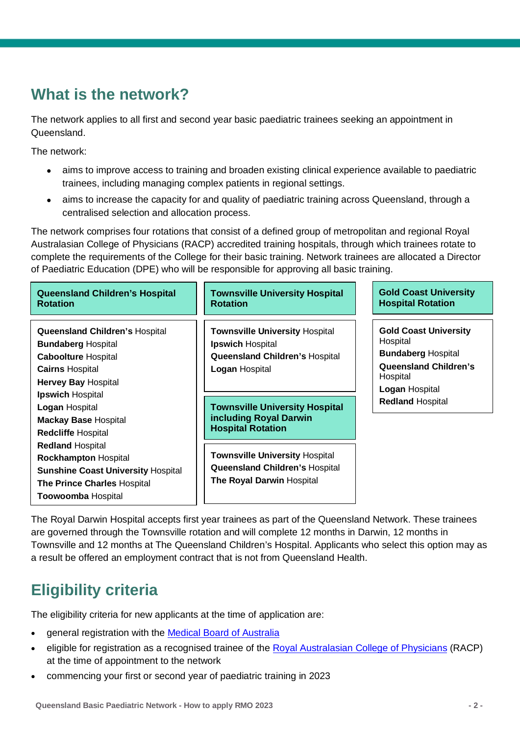## <span id="page-1-0"></span>**What is the network?**

The network applies to all first and second year basic paediatric trainees seeking an appointment in Queensland.

The network:

- aims to improve access to training and broaden existing clinical experience available to paediatric trainees, including managing complex patients in regional settings.
- aims to increase the capacity for and quality of paediatric training across Queensland, through a centralised selection and allocation process.

The network comprises four rotations that consist of a defined group of metropolitan and regional Royal Australasian College of Physicians (RACP) accredited training hospitals, through which trainees rotate to complete the requirements of the College for their basic training. Network trainees are allocated a Director of Paediatric Education (DPE) who will be responsible for approving all basic training.

| <b>Queensland Children's Hospital</b><br><b>Rotation</b>                                                                                                                            | <b>Townsville University Hospital</b><br><b>Rotation</b>                                                                           | <b>Gold Coast University</b><br><b>Hospital Rotation</b>                                                                                                              |
|-------------------------------------------------------------------------------------------------------------------------------------------------------------------------------------|------------------------------------------------------------------------------------------------------------------------------------|-----------------------------------------------------------------------------------------------------------------------------------------------------------------------|
| <b>Queensland Children's Hospital</b><br><b>Bundaberg Hospital</b><br><b>Caboolture Hospital</b><br><b>Cairns Hospital</b><br><b>Hervey Bay Hospital</b><br><b>Ipswich Hospital</b> | <b>Townsville University Hospital</b><br><b>Ipswich Hospital</b><br><b>Queensland Children's Hospital</b><br><b>Logan Hospital</b> | <b>Gold Coast University</b><br>Hospital<br><b>Bundaberg Hospital</b><br><b>Queensland Children's</b><br>Hospital<br><b>Logan Hospital</b><br><b>Redland Hospital</b> |
| <b>Logan Hospital</b><br><b>Mackay Base Hospital</b><br><b>Redcliffe Hospital</b>                                                                                                   | <b>Townsville University Hospital</b><br>including Royal Darwin<br><b>Hospital Rotation</b>                                        |                                                                                                                                                                       |
| <b>Redland Hospital</b><br><b>Rockhampton Hospital</b><br><b>Sunshine Coast University Hospital</b><br><b>The Prince Charles Hospital</b><br><b>Toowoomba Hospital</b>              | <b>Townsville University Hospital</b><br><b>Queensland Children's Hospital</b><br>The Royal Darwin Hospital                        |                                                                                                                                                                       |

The Royal Darwin Hospital accepts first year trainees as part of the Queensland Network. These trainees are governed through the Townsville rotation and will complete 12 months in Darwin, 12 months in Townsville and 12 months at The Queensland Children's Hospital. Applicants who select this option may as a result be offered an employment contract that is not from Queensland Health.

## <span id="page-1-1"></span>**Eligibility criteria**

The eligibility criteria for new applicants at the time of application are:

- general registration with the [Medical Board of Australia](https://www.ahpra.gov.au/)
- eligible for registration as a recognised trainee of the [Royal Australasian College of Physicians](https://www.racp.edu.au/) (RACP) at the time of appointment to the network
- commencing your first or second year of paediatric training in 2023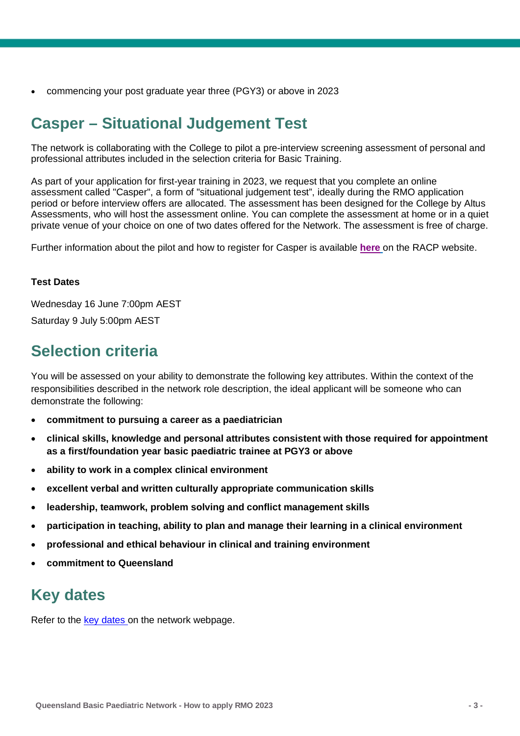• commencing your post graduate year three (PGY3) or above in 2023

## <span id="page-2-0"></span>**Casper – Situational Judgement Test**

The network is collaborating with the College to pilot a pre-interview screening assessment of personal and professional attributes included in the selection criteria for Basic Training.

As part of your application for first-year training in 2023, we request that you complete an online assessment called "Casper", a form of "situational judgement test", ideally during the RMO application period or before interview offers are allocated. The assessment has been designed for the College by Altus Assessments, who will host the assessment online. You can complete the assessment at home or in a quiet private venue of your choice on one of two dates offered for the Network. The assessment is free of charge.

Further information about the pilot and how to register for Casper is available **[here](https://www.racp.edu.au/become-a-physician/entry-into-basic-training/casper-assessment-pilot-2022)** on the RACP website.

#### **Test Dates**

Wednesday 16 June 7:00pm AEST Saturday 9 July 5:00pm AEST

## <span id="page-2-1"></span>**Selection criteria**

You will be assessed on your ability to demonstrate the following key attributes. Within the context of the responsibilities described in the network role description, the ideal applicant will be someone who can demonstrate the following:

- **commitment to pursuing a career as a paediatrician**
- **clinical skills, knowledge and personal attributes consistent with those required for appointment as a first/foundation year basic paediatric trainee at PGY3 or above**
- **ability to work in a complex clinical environment**
- **excellent verbal and written culturally appropriate communication skills**
- **leadership, teamwork, problem solving and conflict management skills**
- **participation in teaching, ability to plan and manage their learning in a clinical environment**
- **professional and ethical behaviour in clinical and training environment**
- **commitment to Queensland**

## <span id="page-2-2"></span>**Key dates**

Refer to the [key dates](https://www.health.qld.gov.au/rmo/pathways/basic-paeds-path) on the network webpage.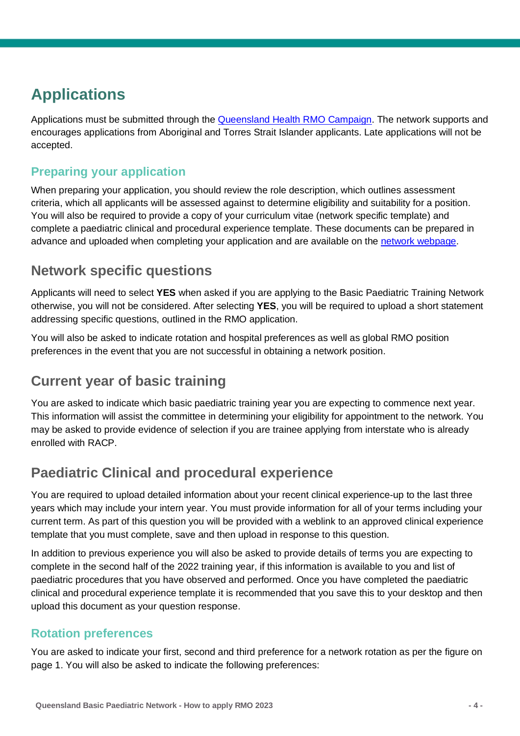## <span id="page-3-0"></span>**Applications**

Applications must be submitted through the [Queensland Health RMO Campaign.](https://www.health.qld.gov.au/employment/work-for-us/clinical/medical/recruitment/rmo) The network supports and encourages applications from Aboriginal and Torres Strait Islander applicants. Late applications will not be accepted.

### **Preparing your application**

When preparing your application, you should review the role description, which outlines assessment criteria, which all applicants will be assessed against to determine eligibility and suitability for a position. You will also be required to provide a copy of your curriculum vitae (network specific template) and complete a paediatric clinical and procedural experience template. These documents can be prepared in advance and uploaded when completing your application and are available on the [network webpage.](https://www.health.qld.gov.au/rmo/pathways/basic-paeds-path)

### <span id="page-3-1"></span>**Network specific questions**

Applicants will need to select **YES** when asked if you are applying to the Basic Paediatric Training Network otherwise, you will not be considered. After selecting **YES**, you will be required to upload a short statement addressing specific questions, outlined in the RMO application.

You will also be asked to indicate rotation and hospital preferences as well as global RMO position preferences in the event that you are not successful in obtaining a network position.

### <span id="page-3-2"></span>**Current year of basic training**

You are asked to indicate which basic paediatric training year you are expecting to commence next year. This information will assist the committee in determining your eligibility for appointment to the network. You may be asked to provide evidence of selection if you are trainee applying from interstate who is already enrolled with RACP.

### <span id="page-3-3"></span>**Paediatric Clinical and procedural experience**

You are required to upload detailed information about your recent clinical experience-up to the last three years which may include your intern year. You must provide information for all of your terms including your current term. As part of this question you will be provided with a weblink to an approved clinical experience template that you must complete, save and then upload in response to this question.

In addition to previous experience you will also be asked to provide details of terms you are expecting to complete in the second half of the 2022 training year, if this information is available to you and list of paediatric procedures that you have observed and performed. Once you have completed the paediatric clinical and procedural experience template it is recommended that you save this to your desktop and then upload this document as your question response.

#### **Rotation preferences**

You are asked to indicate your first, second and third preference for a network rotation as per the figure on page 1. You will also be asked to indicate the following preferences: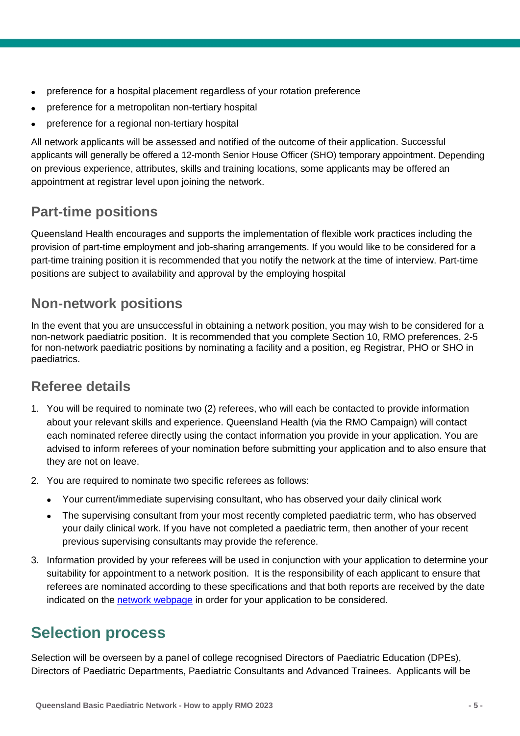- preference for a hospital placement regardless of your rotation preference
- preference for a metropolitan non-tertiary hospital
- preference for a regional non-tertiary hospital

All network applicants will be assessed and notified of the outcome of their application. Successful applicants will generally be offered a 12-month Senior House Officer (SHO) temporary appointment. Depending on previous experience, attributes, skills and training locations, some applicants may be offered an appointment at registrar level upon joining the network.

### <span id="page-4-0"></span>**Part-time positions**

Queensland Health encourages and supports the implementation of flexible work practices including the provision of part-time employment and job-sharing arrangements. If you would like to be considered for a part-time training position it is recommended that you notify the network at the time of interview. Part-time positions are subject to availability and approval by the employing hospital

### <span id="page-4-1"></span>**Non-network positions**

In the event that you are unsuccessful in obtaining a network position, you may wish to be considered for a non-network paediatric position. It is recommended that you complete Section 10, RMO preferences, 2-5 for non-network paediatric positions by nominating a facility and a position, eg Registrar, PHO or SHO in paediatrics.

### <span id="page-4-2"></span>**Referee details**

- 1. You will be required to nominate two (2) referees, who will each be contacted to provide information about your relevant skills and experience. Queensland Health (via the RMO Campaign) will contact each nominated referee directly using the contact information you provide in your application. You are advised to inform referees of your nomination before submitting your application and to also ensure that they are not on leave.
- 2. You are required to nominate two specific referees as follows:
	- Your current/immediate supervising consultant, who has observed your daily clinical work
	- The supervising consultant from your most recently completed paediatric term, who has observed your daily clinical work. If you have not completed a paediatric term, then another of your recent previous supervising consultants may provide the reference.
- 3. Information provided by your referees will be used in conjunction with your application to determine your suitability for appointment to a network position. It is the responsibility of each applicant to ensure that referees are nominated according to these specifications and that both reports are received by the date indicated on the [network webpage](https://www.health.qld.gov.au/rmo/pathways/basic-paeds-path) in order for your application to be considered.

## <span id="page-4-3"></span>**Selection process**

Selection will be overseen by a panel of college recognised Directors of Paediatric Education (DPEs), Directors of Paediatric Departments, Paediatric Consultants and Advanced Trainees. Applicants will be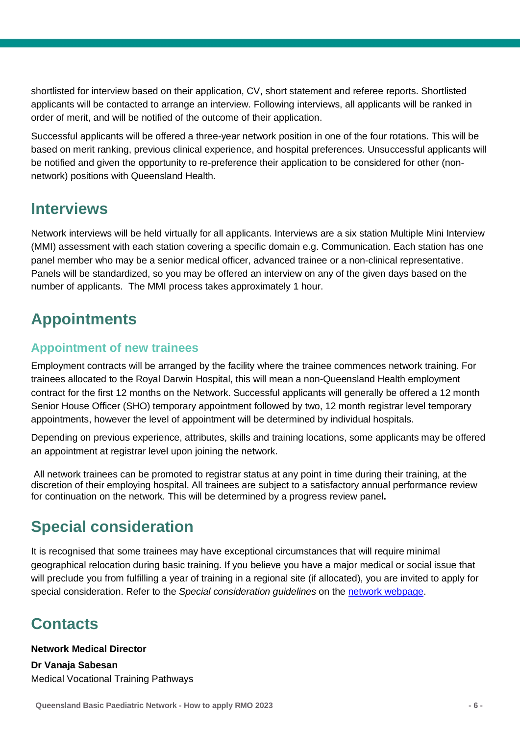shortlisted for interview based on their application, CV, short statement and referee reports. Shortlisted applicants will be contacted to arrange an interview. Following interviews, all applicants will be ranked in order of merit, and will be notified of the outcome of their application.

Successful applicants will be offered a three-year network position in one of the four rotations. This will be based on merit ranking, previous clinical experience, and hospital preferences. Unsuccessful applicants will be notified and given the opportunity to re-preference their application to be considered for other (nonnetwork) positions with Queensland Health.

### <span id="page-5-0"></span>**Interviews**

Network interviews will be held virtually for all applicants. Interviews are a six station Multiple Mini Interview (MMI) assessment with each station covering a specific domain e.g. Communication. Each station has one panel member who may be a senior medical officer, advanced trainee or a non-clinical representative. Panels will be standardized, so you may be offered an interview on any of the given days based on the number of applicants. The MMI process takes approximately 1 hour.

# <span id="page-5-1"></span>**Appointments**

### **Appointment of new trainees**

Employment contracts will be arranged by the facility where the trainee commences network training. For trainees allocated to the Royal Darwin Hospital, this will mean a non-Queensland Health employment contract for the first 12 months on the Network. Successful applicants will generally be offered a 12 month Senior House Officer (SHO) temporary appointment followed by two, 12 month registrar level temporary appointments, however the level of appointment will be determined by individual hospitals.

Depending on previous experience, attributes, skills and training locations, some applicants may be offered an appointment at registrar level upon joining the network.

All network trainees can be promoted to registrar status at any point in time during their training, at the discretion of their employing hospital. All trainees are subject to a satisfactory annual performance review for continuation on the network. This will be determined by a progress review panel**.**

## <span id="page-5-2"></span>**Special consideration**

It is recognised that some trainees may have exceptional circumstances that will require minimal geographical relocation during basic training. If you believe you have a major medical or social issue that will preclude you from fulfilling a year of training in a regional site (if allocated), you are invited to apply for special consideration. Refer to the *Special consideration guidelines* on the [network webpage.](https://www.health.qld.gov.au/rmo/pathways/basic-paeds-path)

## <span id="page-5-3"></span>**Contacts**

**Network Medical Director Dr Vanaja Sabesan** Medical Vocational Training Pathways